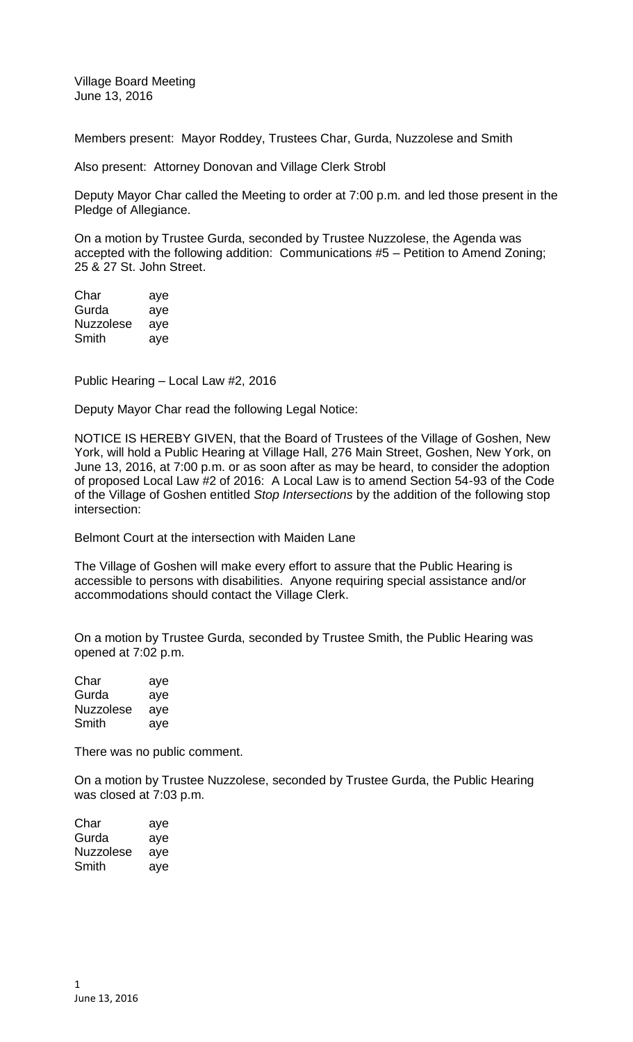Village Board Meeting June 13, 2016

Members present: Mayor Roddey, Trustees Char, Gurda, Nuzzolese and Smith

Also present: Attorney Donovan and Village Clerk Strobl

Deputy Mayor Char called the Meeting to order at 7:00 p.m. and led those present in the Pledge of Allegiance.

On a motion by Trustee Gurda, seconded by Trustee Nuzzolese, the Agenda was accepted with the following addition: Communications #5 – Petition to Amend Zoning; 25 & 27 St. John Street.

Char aye Gurda aye Nuzzolese aye Smith aye

Public Hearing – Local Law #2, 2016

Deputy Mayor Char read the following Legal Notice:

NOTICE IS HEREBY GIVEN, that the Board of Trustees of the Village of Goshen, New York, will hold a Public Hearing at Village Hall, 276 Main Street, Goshen, New York, on June 13, 2016, at 7:00 p.m. or as soon after as may be heard, to consider the adoption of proposed Local Law #2 of 2016: A Local Law is to amend Section 54-93 of the Code of the Village of Goshen entitled *Stop Intersections* by the addition of the following stop intersection:

Belmont Court at the intersection with Maiden Lane

The Village of Goshen will make every effort to assure that the Public Hearing is accessible to persons with disabilities. Anyone requiring special assistance and/or accommodations should contact the Village Clerk.

On a motion by Trustee Gurda, seconded by Trustee Smith, the Public Hearing was opened at 7:02 p.m.

Char aye Gurda aye Nuzzolese aye Smith aye

There was no public comment.

On a motion by Trustee Nuzzolese, seconded by Trustee Gurda, the Public Hearing was closed at 7:03 p.m.

| Char      | aye |
|-----------|-----|
| Gurda     | aye |
| Nuzzolese | aye |
| Smith     | ave |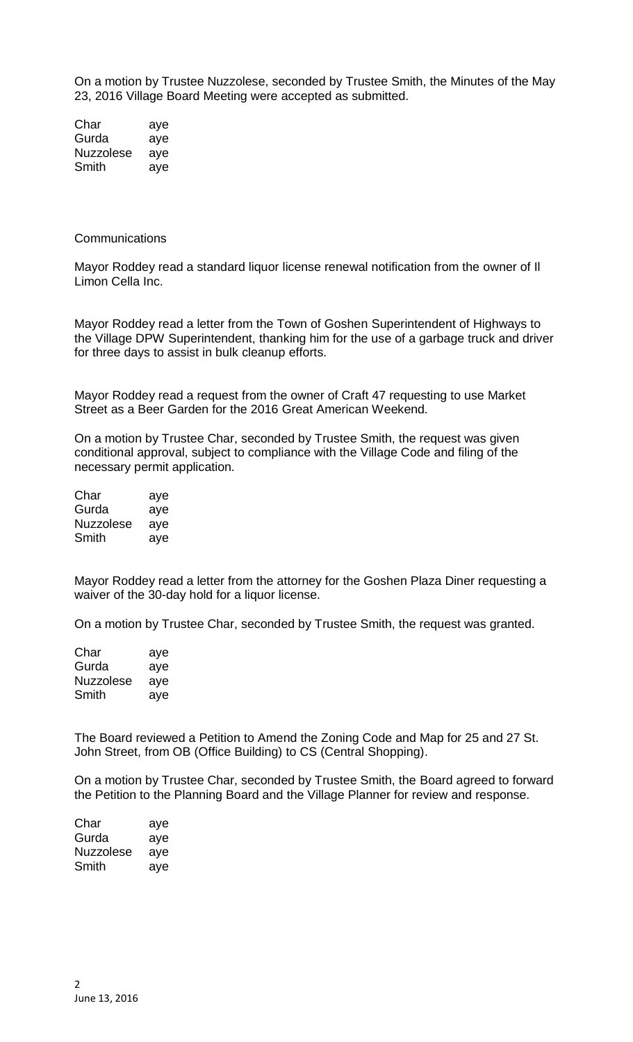On a motion by Trustee Nuzzolese, seconded by Trustee Smith, the Minutes of the May 23, 2016 Village Board Meeting were accepted as submitted.

Char aye Gurda aye Nuzzolese aye Smith aye

## **Communications**

Mayor Roddey read a standard liquor license renewal notification from the owner of Il Limon Cella Inc.

Mayor Roddey read a letter from the Town of Goshen Superintendent of Highways to the Village DPW Superintendent, thanking him for the use of a garbage truck and driver for three days to assist in bulk cleanup efforts.

Mayor Roddey read a request from the owner of Craft 47 requesting to use Market Street as a Beer Garden for the 2016 Great American Weekend.

On a motion by Trustee Char, seconded by Trustee Smith, the request was given conditional approval, subject to compliance with the Village Code and filing of the necessary permit application.

| Char             | aye |
|------------------|-----|
| Gurda            | aye |
| <b>Nuzzolese</b> | aye |
| Smith            | ave |

Mayor Roddey read a letter from the attorney for the Goshen Plaza Diner requesting a waiver of the 30-day hold for a liquor license.

On a motion by Trustee Char, seconded by Trustee Smith, the request was granted.

| Char             | aye |
|------------------|-----|
| Gurda            | aye |
| <b>Nuzzolese</b> | aye |
| Smith            | aye |

The Board reviewed a Petition to Amend the Zoning Code and Map for 25 and 27 St. John Street, from OB (Office Building) to CS (Central Shopping).

On a motion by Trustee Char, seconded by Trustee Smith, the Board agreed to forward the Petition to the Planning Board and the Village Planner for review and response.

| Char      | aye |
|-----------|-----|
| Gurda     | aye |
| Nuzzolese | aye |
| Smith     | ave |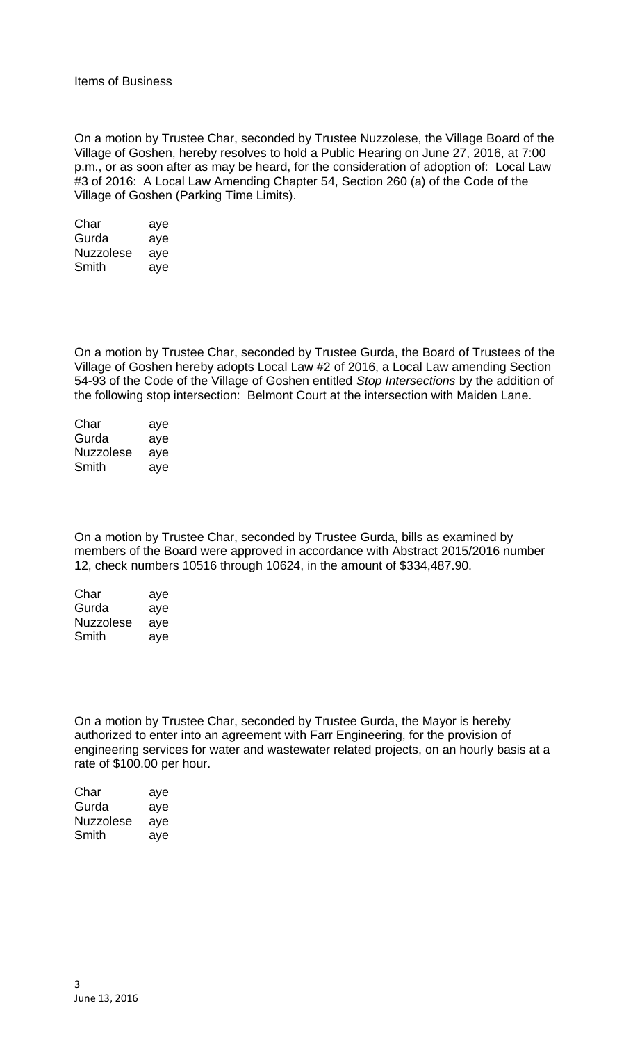On a motion by Trustee Char, seconded by Trustee Nuzzolese, the Village Board of the Village of Goshen, hereby resolves to hold a Public Hearing on June 27, 2016, at 7:00 p.m., or as soon after as may be heard, for the consideration of adoption of: Local Law #3 of 2016: A Local Law Amending Chapter 54, Section 260 (a) of the Code of the Village of Goshen (Parking Time Limits).

| Char             | aye |
|------------------|-----|
| Gurda            | aye |
| <b>Nuzzolese</b> | aye |
| Smith            | aye |

On a motion by Trustee Char, seconded by Trustee Gurda, the Board of Trustees of the Village of Goshen hereby adopts Local Law #2 of 2016, a Local Law amending Section 54-93 of the Code of the Village of Goshen entitled *Stop Intersections* by the addition of the following stop intersection: Belmont Court at the intersection with Maiden Lane.

| Char             | aye |
|------------------|-----|
| Gurda            | aye |
| <b>Nuzzolese</b> | aye |
| Smith            | aye |

On a motion by Trustee Char, seconded by Trustee Gurda, bills as examined by members of the Board were approved in accordance with Abstract 2015/2016 number 12, check numbers 10516 through 10624, in the amount of \$334,487.90.

| Char             | aye |
|------------------|-----|
| Gurda            | aye |
| <b>Nuzzolese</b> | aye |
| Smith            | ave |

On a motion by Trustee Char, seconded by Trustee Gurda, the Mayor is hereby authorized to enter into an agreement with Farr Engineering, for the provision of engineering services for water and wastewater related projects, on an hourly basis at a rate of \$100.00 per hour.

| Char      | aye |
|-----------|-----|
| Gurda     | aye |
| Nuzzolese | aye |
| Smith     | aye |